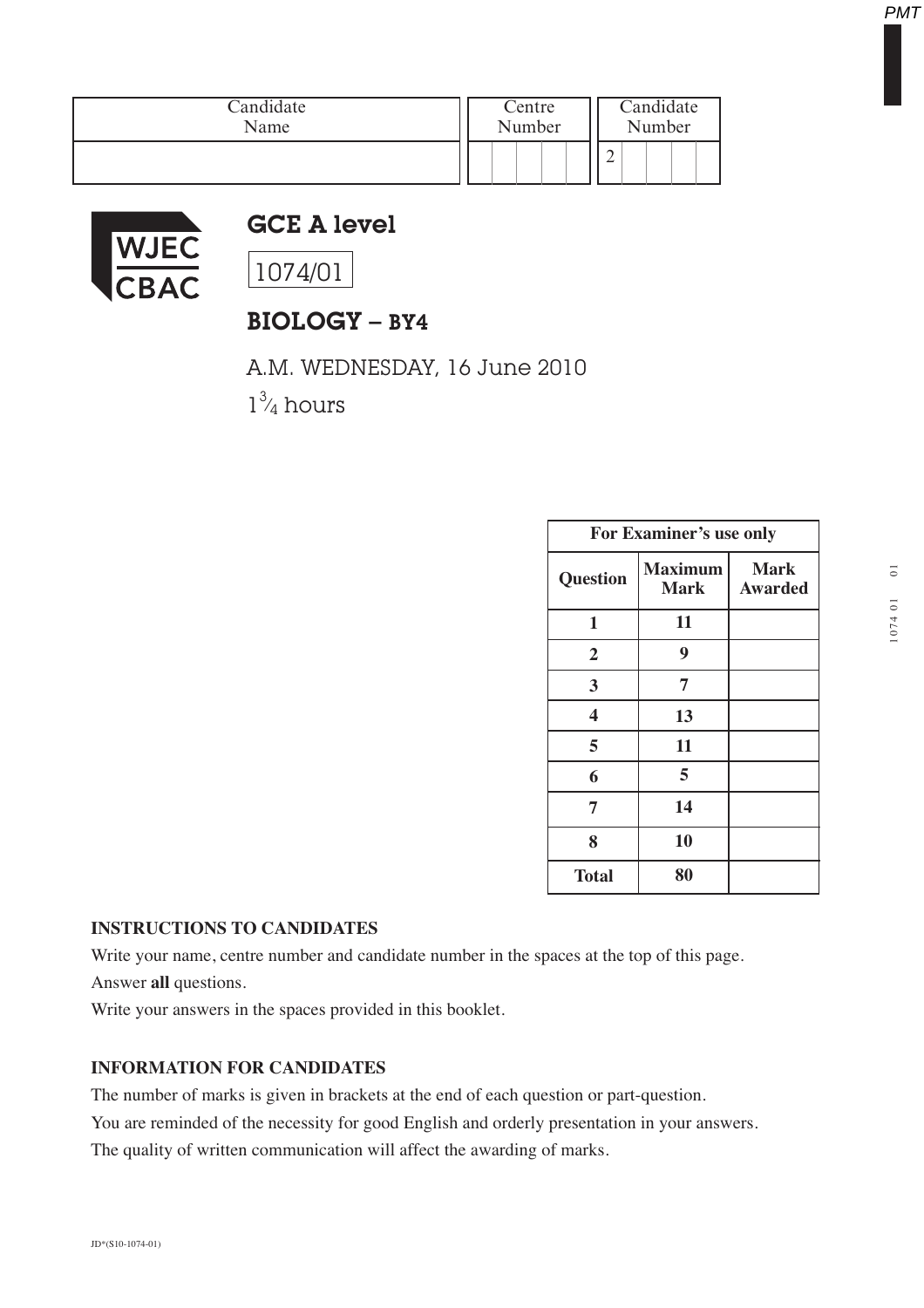| Candidate | Centre | Candidate |
|-----------|--------|-----------|
| Name      | Number | Number    |
|           |        | ∸         |



## GCE A level

1074/01

## BIOLOGY – BY4

A.M. WEDNESDAY, 16 June 2010

 $1\frac{3}{4}$  hours **∕** 

| For Examiner's use only |                               |                               |  |
|-------------------------|-------------------------------|-------------------------------|--|
| Question                | <b>Maximum</b><br><b>Mark</b> | <b>Mark</b><br><b>Awarded</b> |  |
| 1                       | 11                            |                               |  |
| $\overline{2}$          | 9                             |                               |  |
| 3                       | 7                             |                               |  |
| 4                       | 13                            |                               |  |
| 5                       | 11                            |                               |  |
| 6                       | 5                             |                               |  |
| 7                       | 14                            |                               |  |
| 8                       | 10                            |                               |  |
| <b>Total</b>            | 80                            |                               |  |

## **INSTRUCTIONS TO CANDIDATES**

Write your name, centre number and candidate number in the spaces at the top of this page.

Answer **all** questions.

Write your answers in the spaces provided in this booklet.

## **INFORMATION FOR CANDIDATES**

The number of marks is given in brackets at the end of each question or part-question.

You are reminded of the necessity for good English and orderly presentation in your answers.

The quality of written communication will affect the awarding of marks.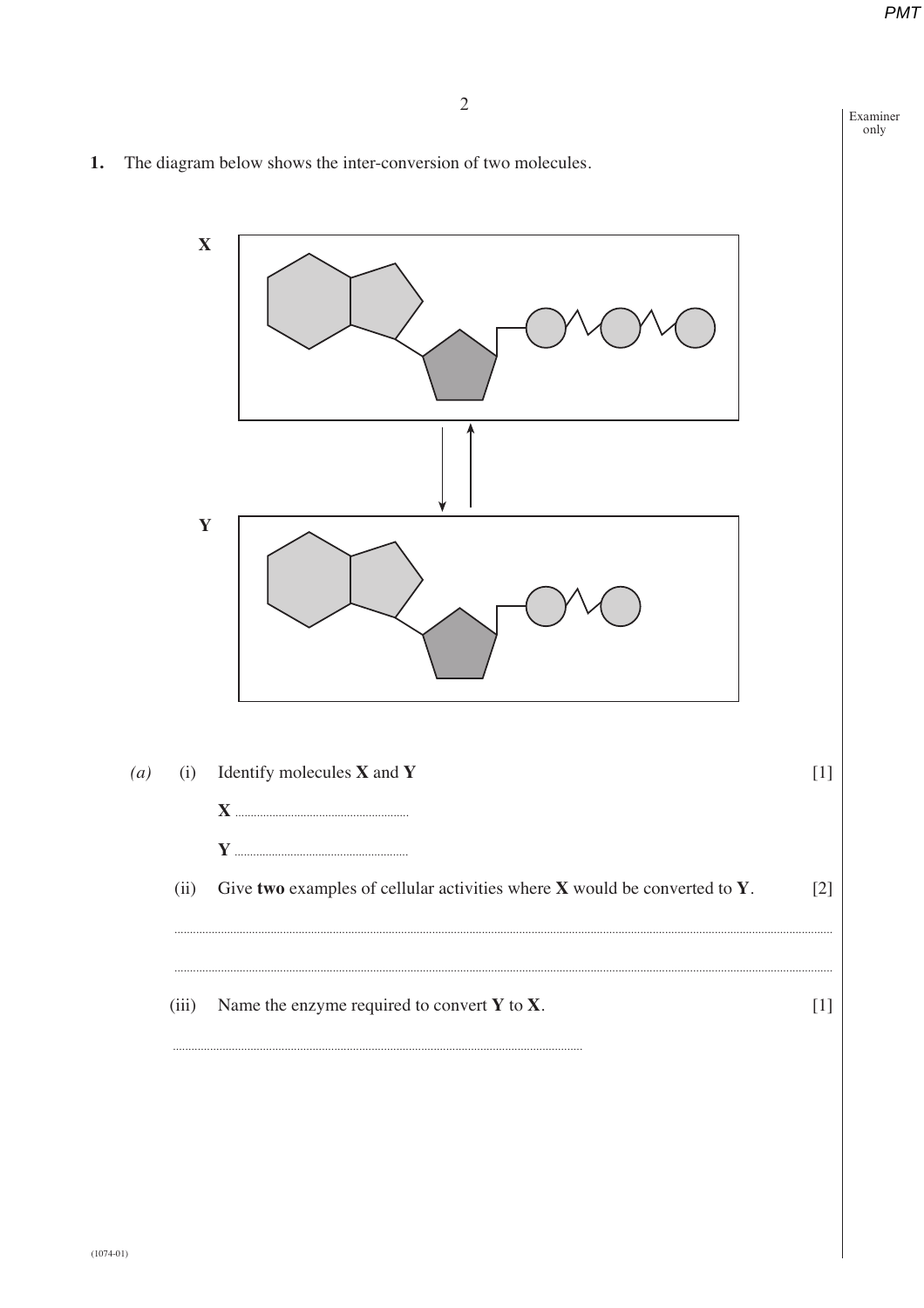Examiner only

The diagram below shows the inter-conversion of two molecules. 1.

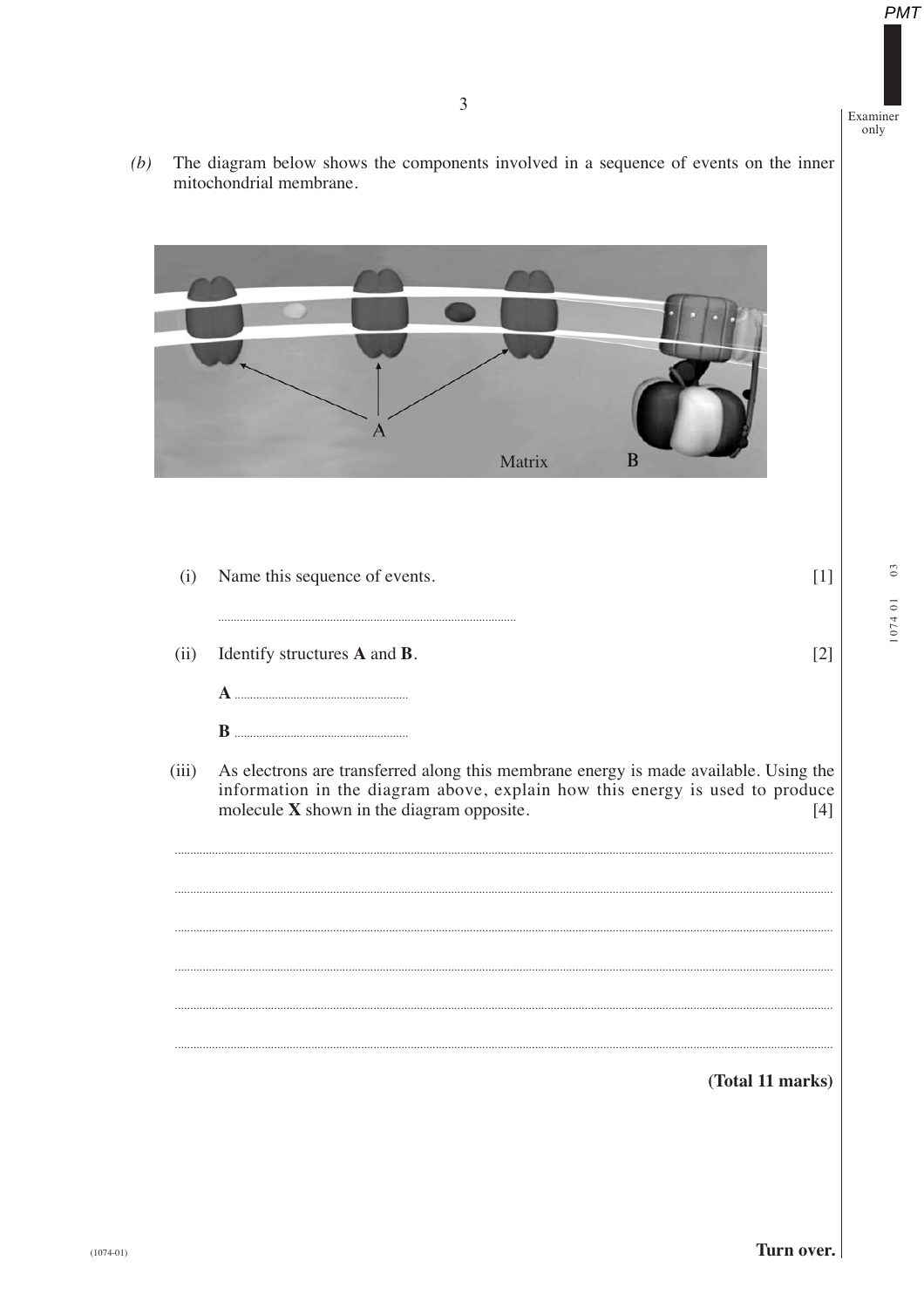The diagram below shows the components involved in a sequence of events on the inner mitochondrial membrane.  $(b)$ 



| (i)   | Name this sequence of events.                                                                                                                                                                                     |      |
|-------|-------------------------------------------------------------------------------------------------------------------------------------------------------------------------------------------------------------------|------|
| (ii)  | Identify structures <b>A</b> and <b>B</b> .                                                                                                                                                                       | 12   |
|       |                                                                                                                                                                                                                   |      |
|       | <sup>R</sup>                                                                                                                                                                                                      |      |
| (iii) | As electrons are transferred along this membrane energy is made available. Using the<br>information in the diagram above, explain how this energy is used to produce<br>molecule X shown in the diagram opposite. | 14 I |
|       |                                                                                                                                                                                                                   |      |
|       |                                                                                                                                                                                                                   |      |
|       |                                                                                                                                                                                                                   |      |
|       |                                                                                                                                                                                                                   |      |
|       |                                                                                                                                                                                                                   |      |
|       | (Total 11 marks)                                                                                                                                                                                                  |      |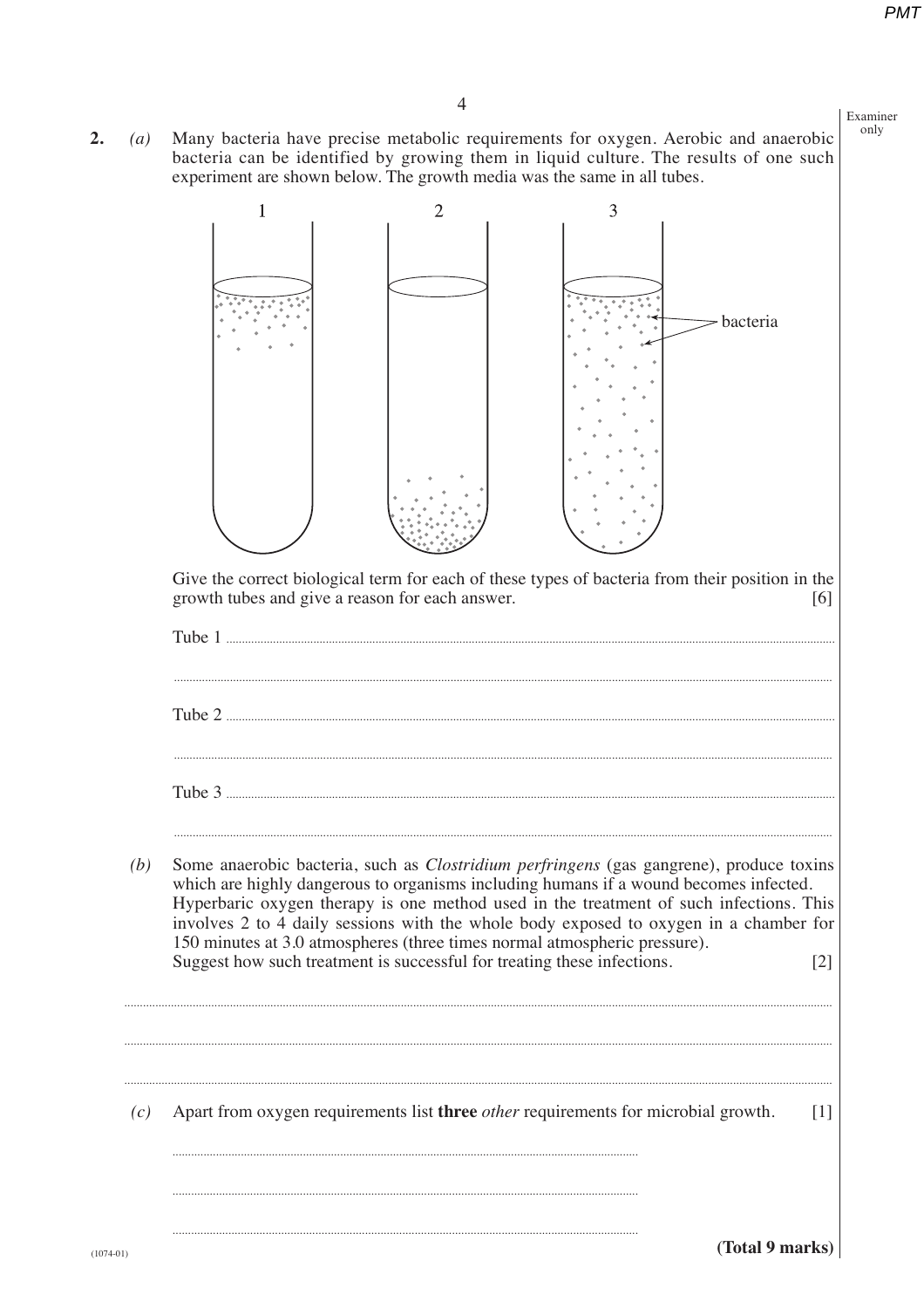only

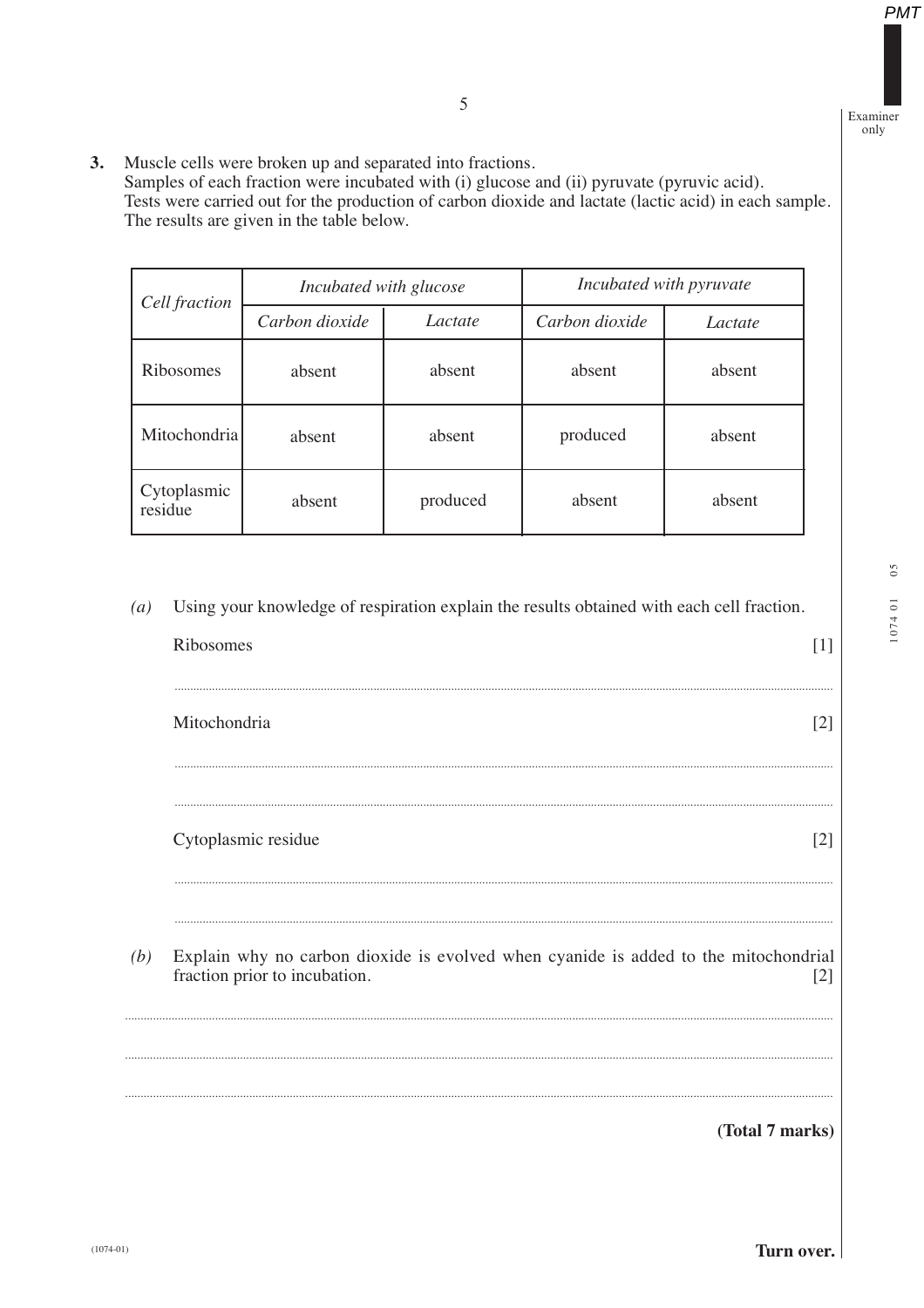Examiner only

**PMT** 

3. Muscle cells were broken up and separated into fractions. Samples of each fraction were incubated with (i) glucose and (ii) pyruvate (pyruvic acid).

Tests were carried out for the production of carbon dioxide and lactate (lactic acid) in each sample. The results are given in the table below.

| Cell fraction          | Incubated with glucose |          | Incubated with pyruvate |         |
|------------------------|------------------------|----------|-------------------------|---------|
|                        | Carbon dioxide         | Lactate  | Carbon dioxide          | Lactate |
| Ribosomes              | absent                 | absent   | absent                  | absent  |
| Mitochondria           | absent                 | absent   | produced                | absent  |
| Cytoplasmic<br>residue | absent                 | produced | absent                  | absent  |

Using your knowledge of respiration explain the results obtained with each cell fraction.  $(a)$ 

Mitochondria

Ribosomes

Cytoplasmic residue  $[2]$ 

 $(b)$ Explain why no carbon dioxide is evolved when cyanide is added to the mitochondrial fraction prior to incubation.  $\lceil 2 \rceil$ 

(Total 7 marks)

 $[1]$ 

 $[2]$ 

Turn over.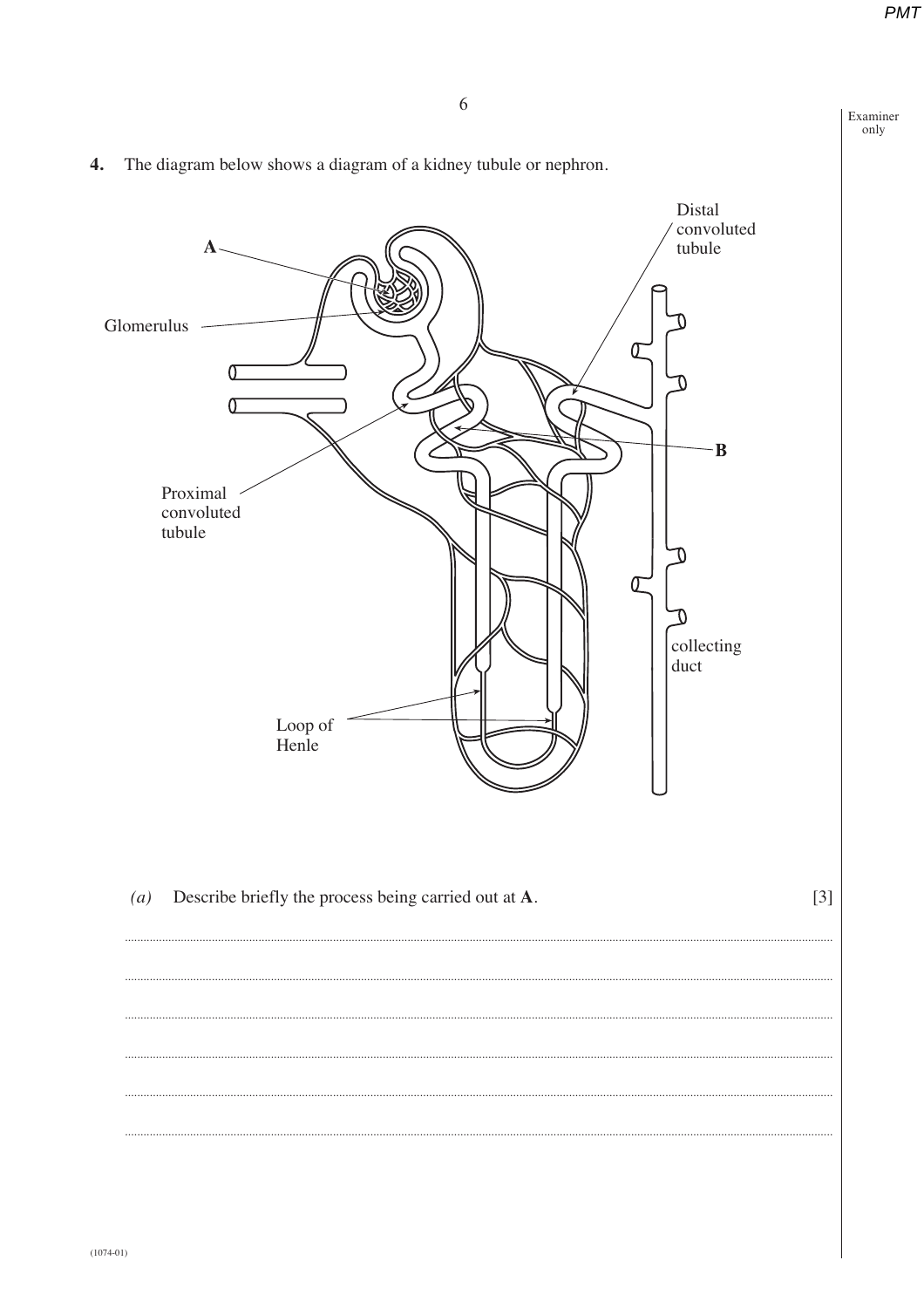$\frac{1}{\text{only}}$ 

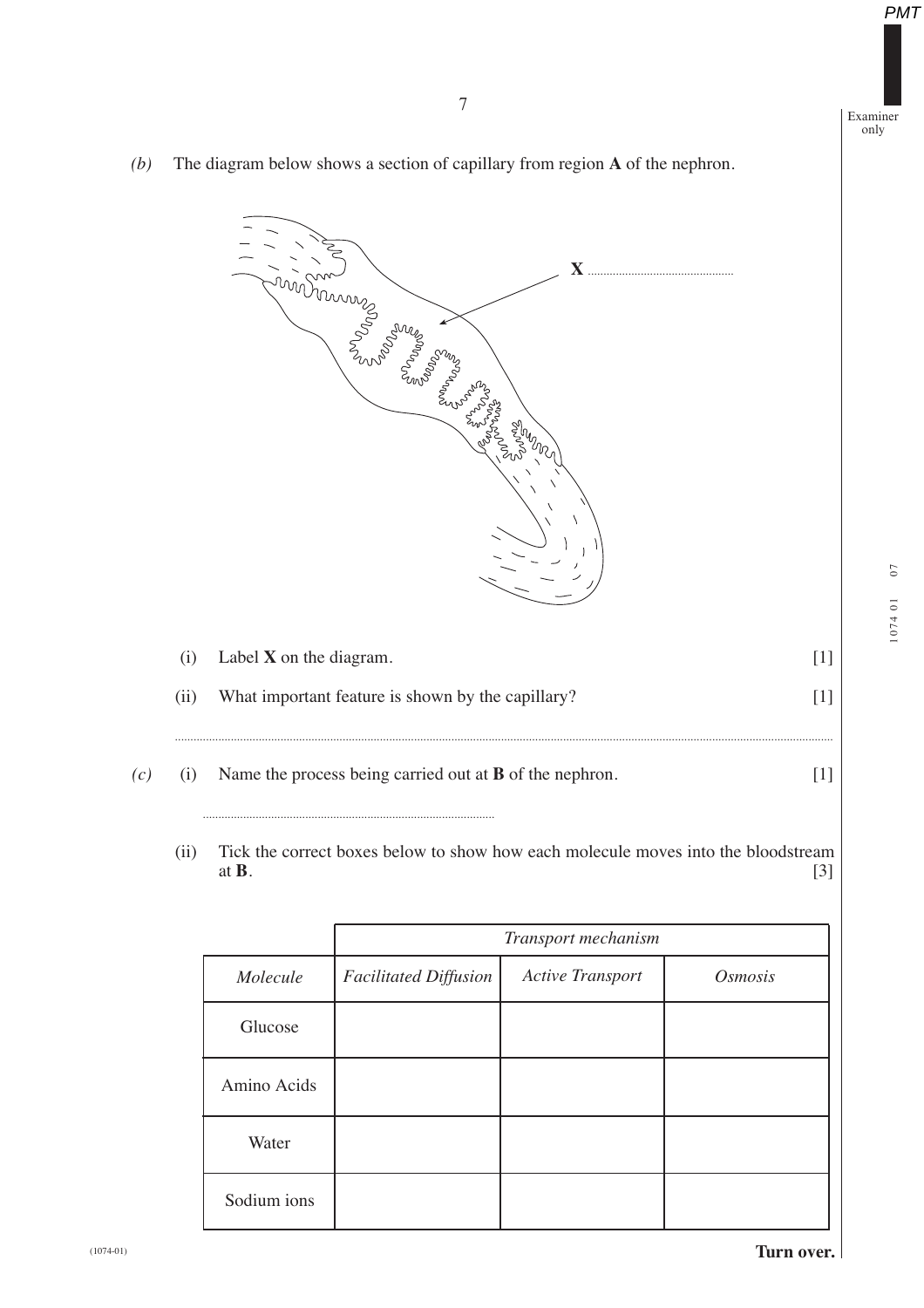Examiner only

*(b)* The diagram below shows a section of capillary from region **A** of the nephron.



*(c)* (i) Name the process being carried out at **B** of the nephron. [1]

**..............................................................................................**

(ii) Tick the correct boxes below to show how each molecule moves into the bloodstream at **B**.  $[3]$ 

|             | Transport mechanism          |                         |                       |
|-------------|------------------------------|-------------------------|-----------------------|
| Molecule    | <b>Facilitated Diffusion</b> | <b>Active Transport</b> | <i><b>Osmosis</b></i> |
| Glucose     |                              |                         |                       |
| Amino Acids |                              |                         |                       |
| Water       |                              |                         |                       |
| Sodium ions |                              |                         |                       |

 $07$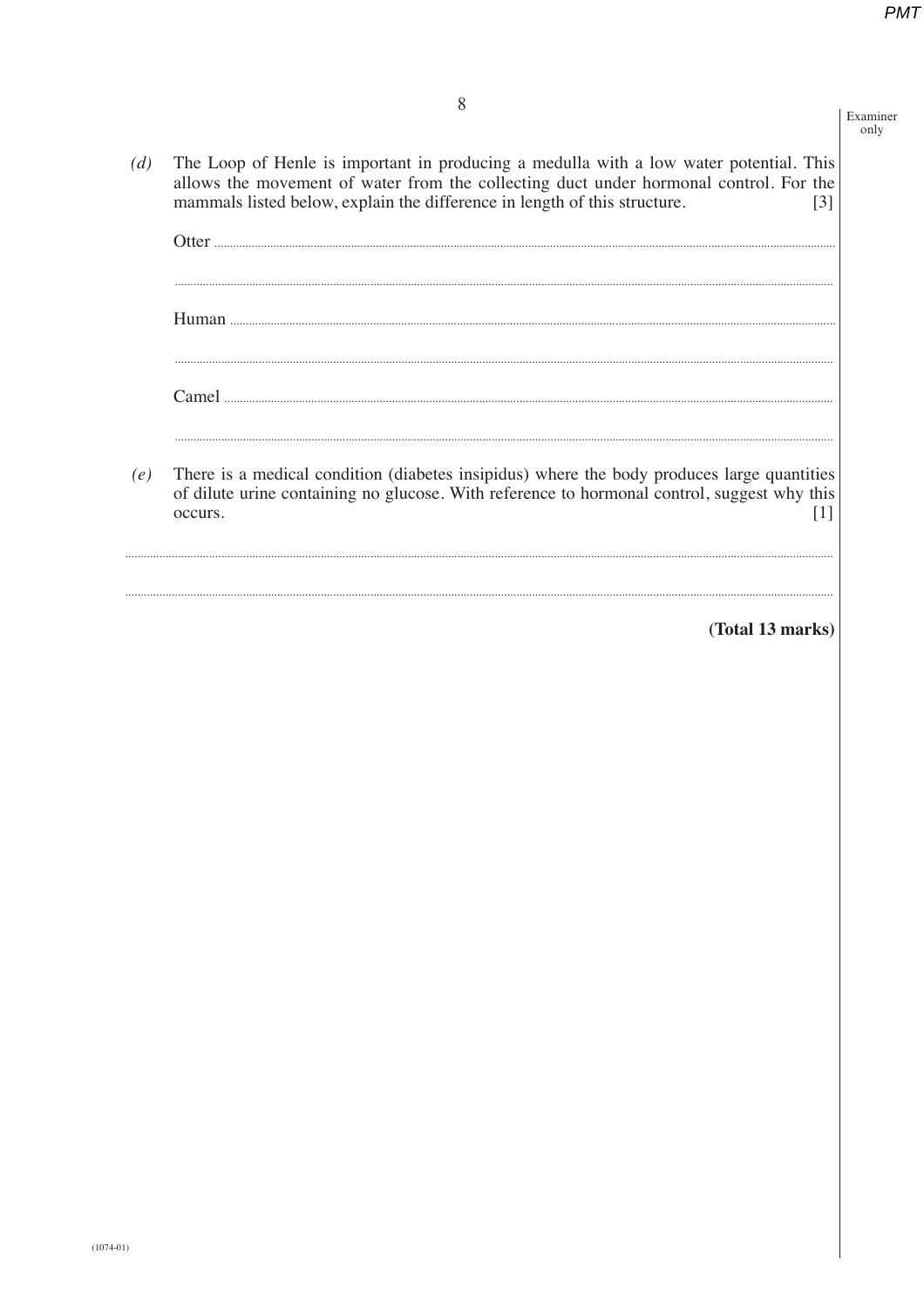Examiner only

The Loop of Henle is important in producing a medulla with a low water potential. This  $(d)$ allows the movement of water from the collecting duct under hormonal control. For the mammals listed below, explain the difference in length of this structure.  $[3]$ 

| ( )tter                                                                                                                                                                                   |
|-------------------------------------------------------------------------------------------------------------------------------------------------------------------------------------------|
|                                                                                                                                                                                           |
| Human                                                                                                                                                                                     |
|                                                                                                                                                                                           |
|                                                                                                                                                                                           |
|                                                                                                                                                                                           |
| There is a medical condition (diabetes insipidus) where the body produces large quantities<br>of dilute urine containing no glucose. With reference to hormonal control, suggest why this |

 $[1]$ 

(Total 13 marks)

 $(e)$ 

occurs.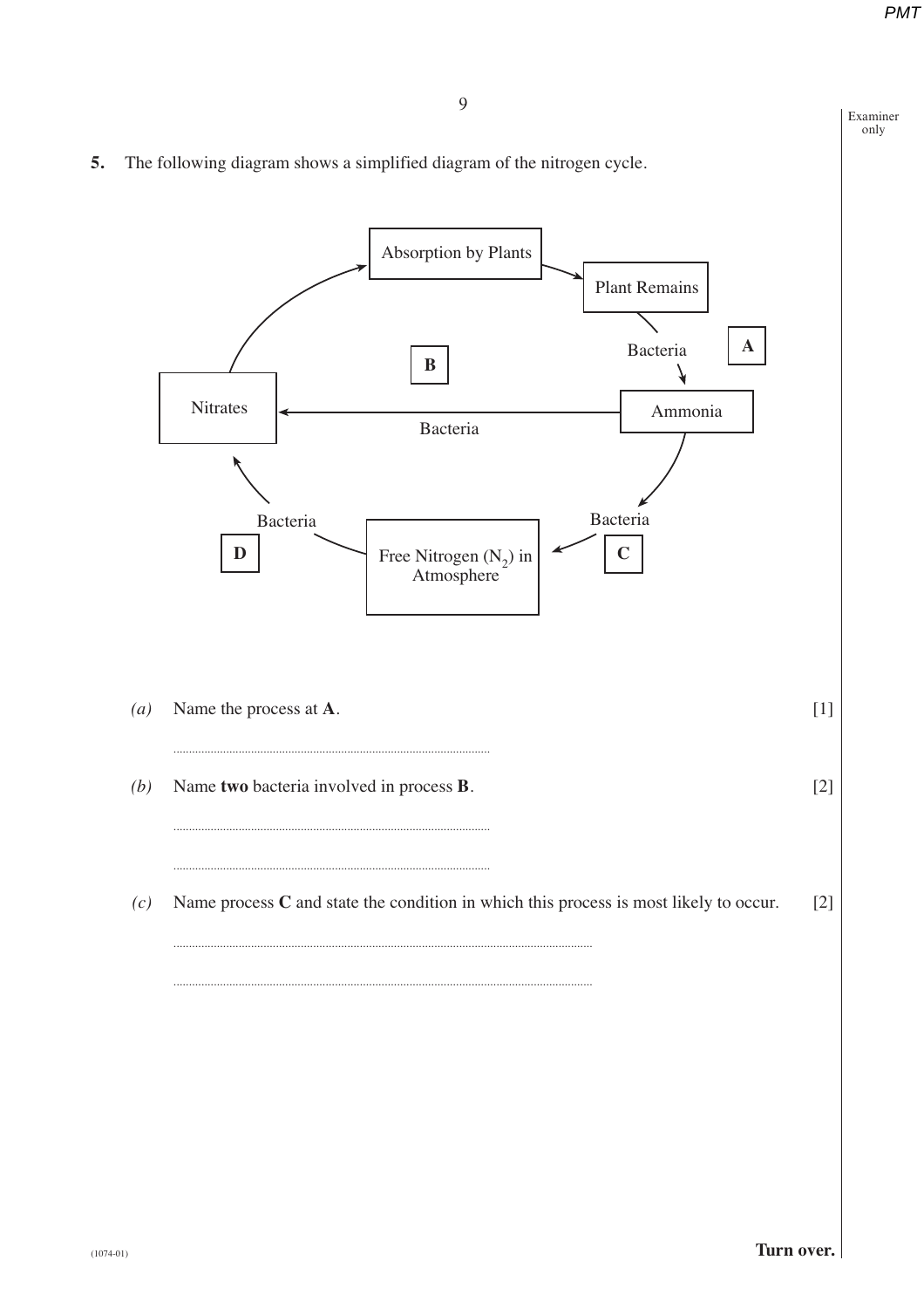Examiner only

**5.** The following diagram shows a simplified diagram of the nitrogen cycle.

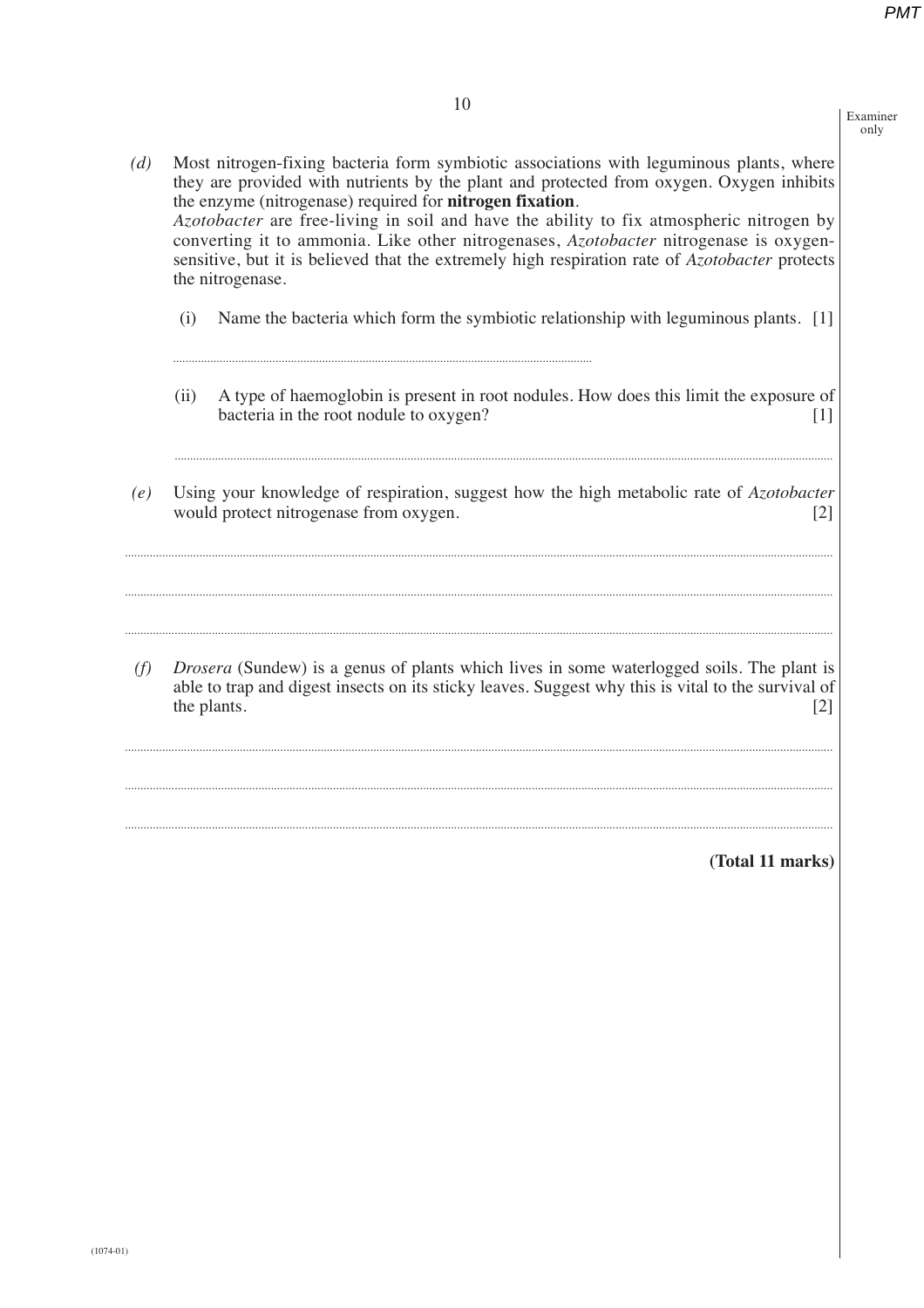Examiner only

*(d)* Most nitrogen-fixing bacteria form symbiotic associations with leguminous plants, where they are provided with nutrients by the plant and protected from oxygen. Oxygen inhibits the enzyme (nitrogenase) required for **nitrogen fixation**. *Azotobacter* are free-living in soil and have the ability to fix atmospheric nitrogen by converting it to ammonia. Like other nitrogenases, *Azotobacter* nitrogenase is oxygensensitive, but it is believed that the extremely high respiration rate of *Azotobacter* protects the nitrogenase.

- (i) Name the bacteria which form the symbiotic relationship with leguminous plants. [1]
- (ii) A type of haemoglobin is present in root nodules. How does this limit the exposure of bacteria in the root nodule to oxygen? [1]

**....................................................................................................................................................................................................................**

*(e)* Using your knowledge of respiration, suggest how the high metabolic rate of *Azotobacter* would protect nitrogenase from oxygen. [2]

**....................................................................................................................................................................................................................................**

**....................................................................................................................................................................................................................................**

**....................................................................................................................................................................................................................................**

**.......................................................................................................................................**

*(f) Drosera* (Sundew) is a genus of plants which lives in some waterlogged soils. The plant is able to trap and digest insects on its sticky leaves. Suggest why this is vital to the survival of the plants.  $[2]$ 

**....................................................................................................................................................................................................................................**

**....................................................................................................................................................................................................................................**

**....................................................................................................................................................................................................................................**

**(Total 11 marks)**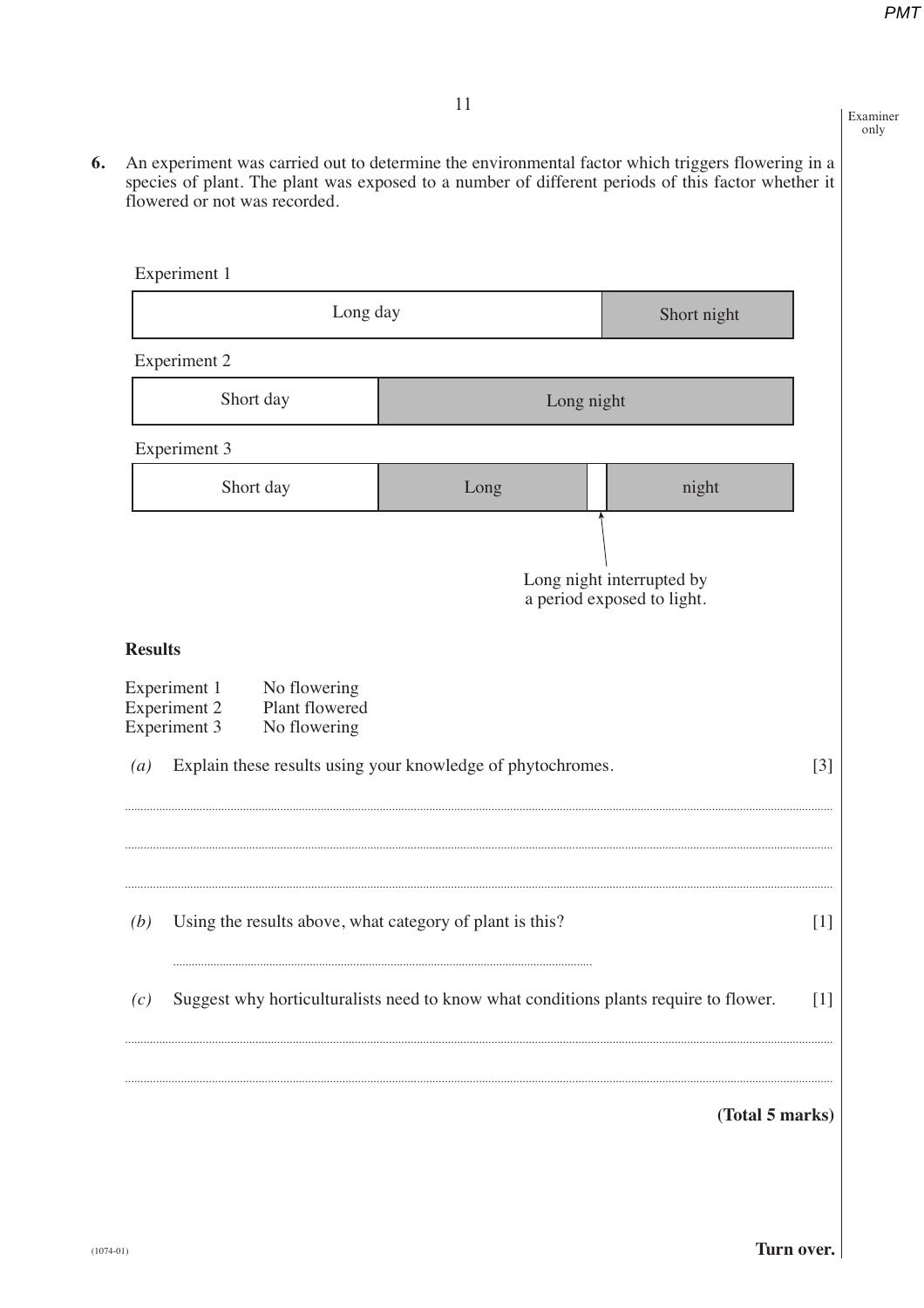Examiner only

**6.** An experiment was carried out to determine the environmental factor which triggers flowering in a species of plant. The plant was exposed to a number of different periods of this factor whether it flowered or not was recorded.

| Experiment 1                                                                                                            |                                                                                      |                                                         |  |  |
|-------------------------------------------------------------------------------------------------------------------------|--------------------------------------------------------------------------------------|---------------------------------------------------------|--|--|
| Long day<br>Short night                                                                                                 |                                                                                      |                                                         |  |  |
| <b>Experiment 2</b>                                                                                                     |                                                                                      |                                                         |  |  |
| Short day                                                                                                               | Long night                                                                           |                                                         |  |  |
| Experiment 3                                                                                                            |                                                                                      |                                                         |  |  |
| Short day                                                                                                               | Long                                                                                 | night                                                   |  |  |
|                                                                                                                         |                                                                                      | Long night interrupted by<br>a period exposed to light. |  |  |
| <b>Results</b><br>Experiment 1<br>No flowering<br><b>Experiment 2</b><br>Plant flowered<br>Experiment 3<br>No flowering |                                                                                      |                                                         |  |  |
| $\left(a\right)$                                                                                                        | Explain these results using your knowledge of phytochromes.                          | $\lceil 3 \rceil$                                       |  |  |
| (b)                                                                                                                     | Using the results above, what category of plant is this?                             | $[1]$                                                   |  |  |
| (c)                                                                                                                     | Suggest why horticulturalists need to know what conditions plants require to flower. | $[1]$                                                   |  |  |
|                                                                                                                         |                                                                                      | (Total 5 marks)                                         |  |  |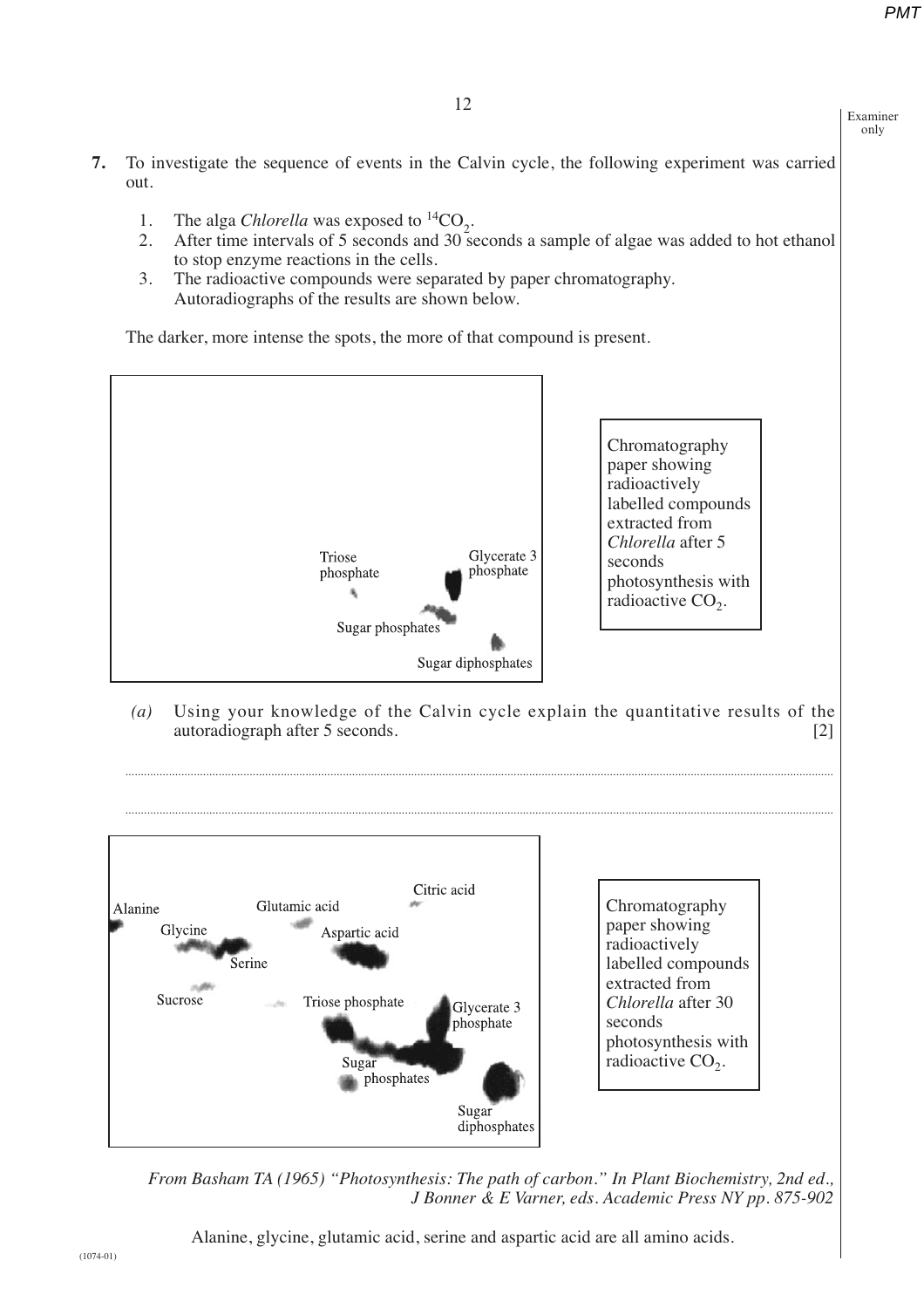only



*From Basham TA (1965) "Photosynthesis: The path of carbon." In Plant Biochemistry, 2nd ed., J Bonner & E Varner, eds. Academic Press NY pp. 875-902*

Alanine, glycine, glutamic acid, serine and aspartic acid are all amino acids.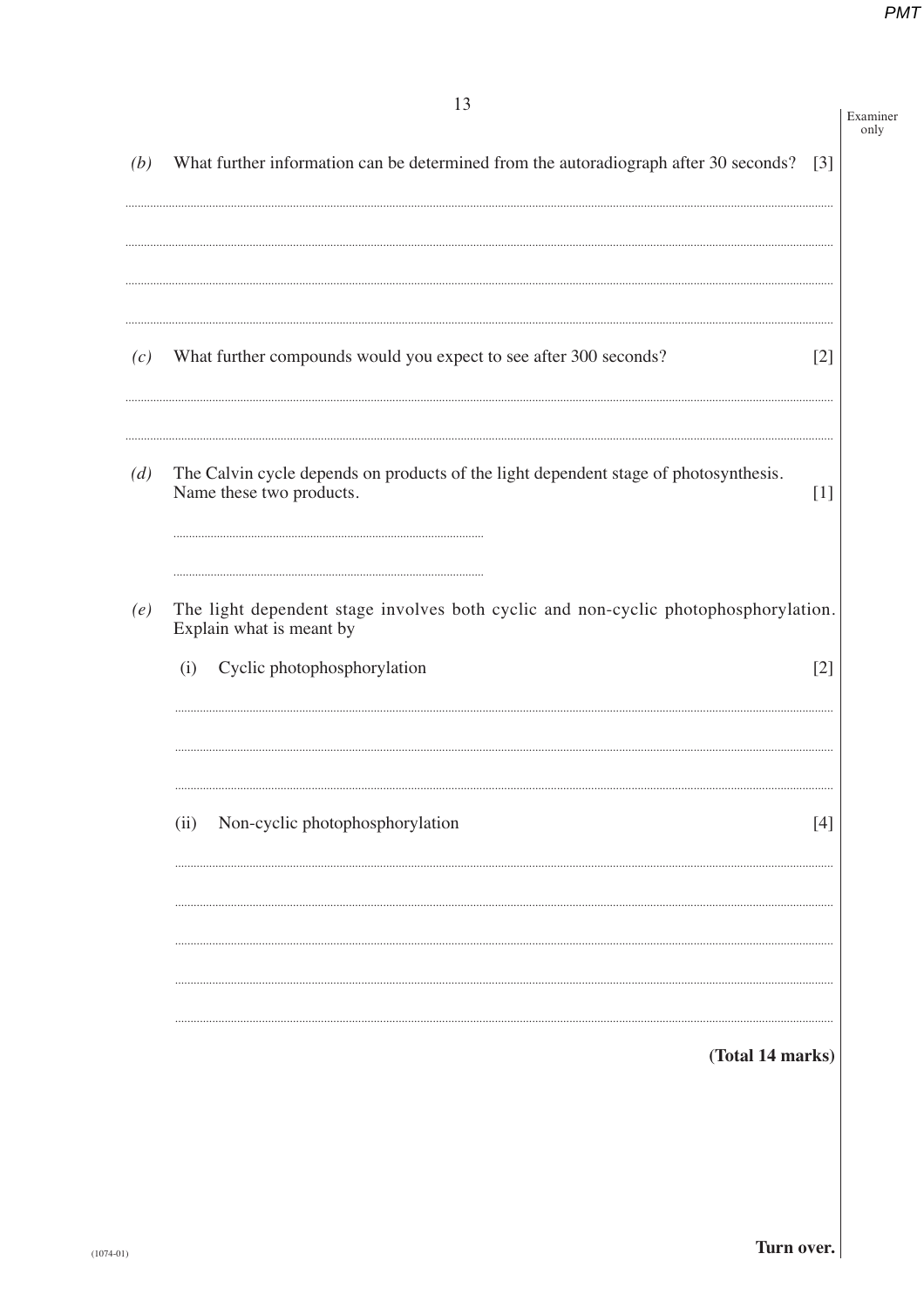|     | 13                                                                                                                                                    | Examiner<br>only |  |
|-----|-------------------------------------------------------------------------------------------------------------------------------------------------------|------------------|--|
| (b) | What further information can be determined from the autoradiograph after 30 seconds?                                                                  | $[3]$            |  |
|     |                                                                                                                                                       |                  |  |
| (c) | What further compounds would you expect to see after 300 seconds?                                                                                     | $[2]$            |  |
| (d) | The Calvin cycle depends on products of the light dependent stage of photosynthesis.<br>Name these two products.                                      | $[1]$            |  |
| (e) | The light dependent stage involves both cyclic and non-cyclic photophosphorylation.<br>Explain what is meant by<br>Cyclic photophosphorylation<br>(i) | $[2]$            |  |
|     | Non-cyclic photophosphorylation<br>(ii)                                                                                                               | [4]              |  |
|     | (Total 14 marks)                                                                                                                                      |                  |  |
|     |                                                                                                                                                       |                  |  |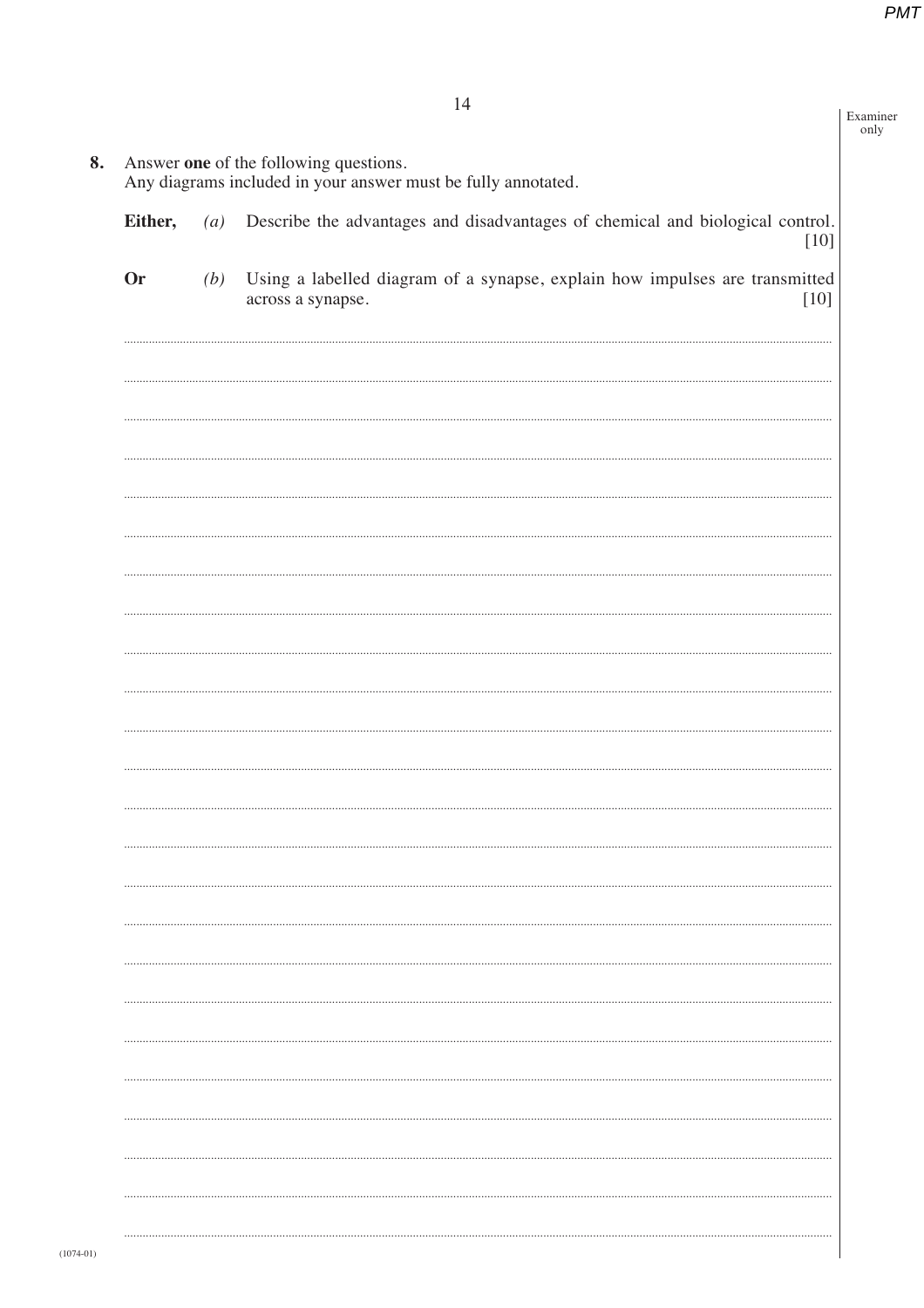|           |                   | 14                                                                                                         | Examiner<br>only |
|-----------|-------------------|------------------------------------------------------------------------------------------------------------|------------------|
|           |                   | Answer one of the following questions.                                                                     |                  |
|           |                   | Any diagrams included in your answer must be fully annotated.                                              |                  |
| Either,   | $\left( a\right)$ | Describe the advantages and disadvantages of chemical and biological control.<br>$[10]$                    |                  |
| <b>Or</b> | (b)               | Using a labelled diagram of a synapse, explain how impulses are transmitted<br>$[10]$<br>across a synapse. |                  |
|           |                   |                                                                                                            |                  |
|           |                   |                                                                                                            |                  |
|           |                   |                                                                                                            |                  |
|           |                   |                                                                                                            |                  |
|           |                   |                                                                                                            |                  |
|           |                   |                                                                                                            |                  |
|           |                   |                                                                                                            |                  |
|           |                   |                                                                                                            |                  |
|           |                   |                                                                                                            |                  |
|           |                   |                                                                                                            |                  |
|           |                   |                                                                                                            |                  |
|           |                   |                                                                                                            |                  |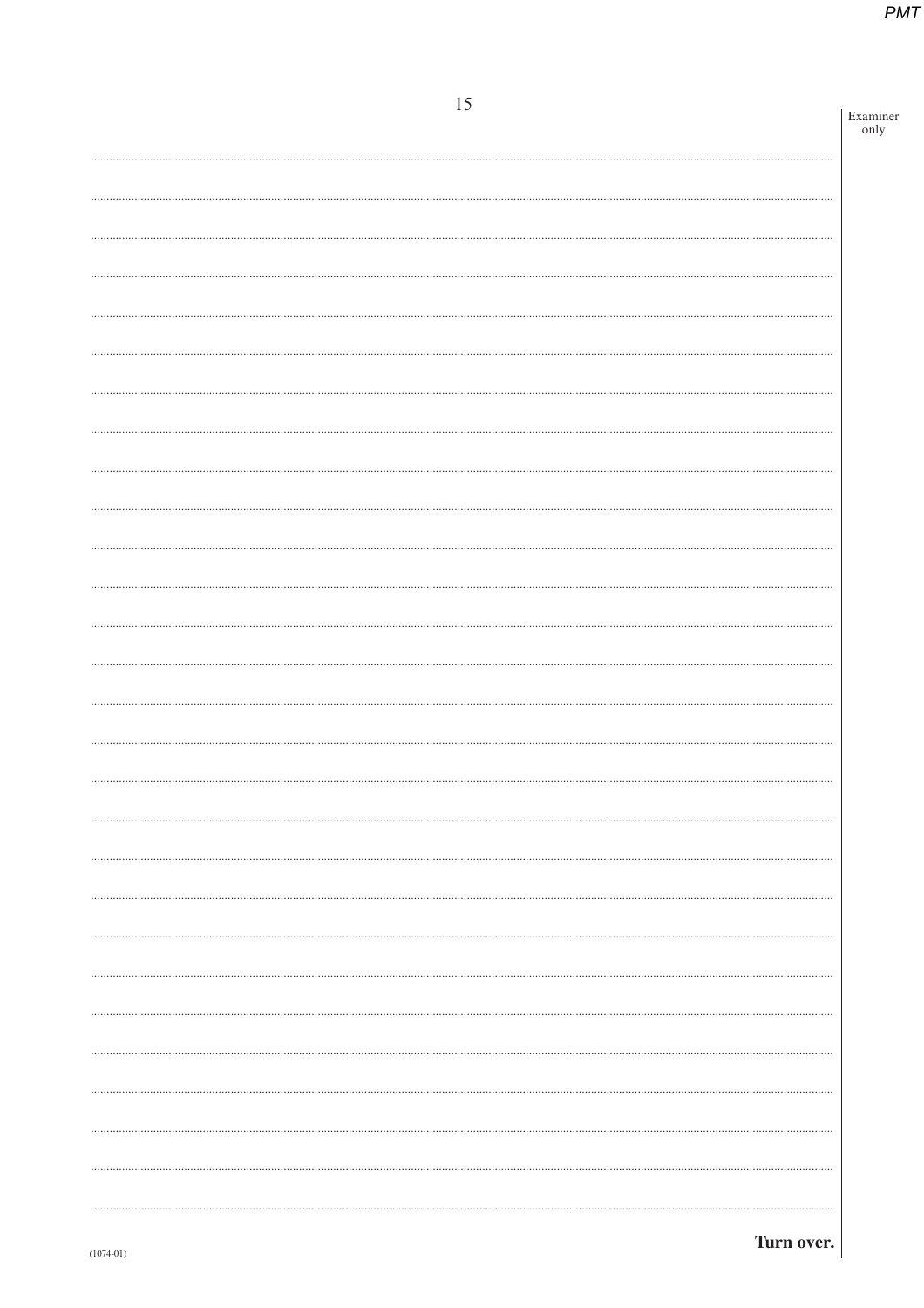| 15 |                  |
|----|------------------|
|    | Examiner<br>only |
|    |                  |
|    |                  |
|    |                  |
|    |                  |
|    |                  |
|    |                  |
|    |                  |
|    |                  |
|    |                  |
|    |                  |
|    |                  |
|    |                  |
|    |                  |
|    |                  |
|    |                  |
|    |                  |
|    |                  |
|    |                  |
|    |                  |
|    |                  |
|    |                  |
|    |                  |
|    |                  |
|    |                  |
|    |                  |
|    |                  |
|    |                  |
|    |                  |
|    |                  |
|    |                  |
|    |                  |
|    |                  |
|    |                  |
|    |                  |
|    |                  |
|    |                  |
|    |                  |
|    |                  |
|    |                  |
|    |                  |
|    |                  |
|    |                  |
|    |                  |
|    |                  |
|    |                  |
|    |                  |